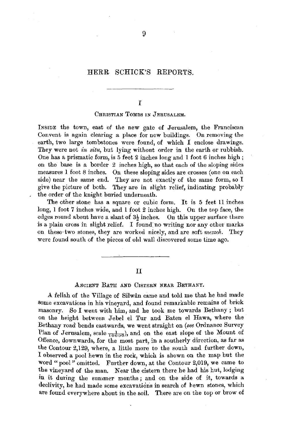# HERR SCHICK'S REPORTS.

I

## CHRISTIAN TOMBS IN JERUSALEM.

INSIDE the town, east of the new gate of Jerusalem, the Franciscan Convent is again clearing a place for new buildings. On removing the earth, two large tombstones were found, of which I enclose drawings. They were not *in situ,* but lying without order **in** the earth or rubbish. One has a prismatic form, is 5 feet 2 inches long and 1 foot 6 inches high ; on the base is a border 2 inches high, so that each of the sloping sides measures **1** foot 8 inches. On these sloping sides are crosses (one on each side) near the same end. They are not exactly of the same form, so I give the picture of both. They are **in** slight relief, indicating probably the order of the knight buried underneath.

The other stone has a square or cubic form. It is 5 feet 11 inches long, I foot 7 inches wide, and I foot 2 inches high. On the top face, the edges round about have a slant of  $3\frac{1}{2}$  inches. On this upper surface there is a plain cross in slight relief. I found no writing nor any other marks on these-two stones, they are worked nicely, and are soft *mezzeh.* They were found south of the pieces of old wall discovered some time ago.

#### II

#### ANCIENT BATH AND CISTERN NEAR BETHANY.

A fellah of the Village of Silwân came and told me that he had made some excavations in his vineyard, and found remarkable remains of brick masonry. So I went with him, and he took me towards Bethany ; but on the height between Jebel el Tur and Eaten el Hawa, where the Bethany road bends eastwards, we went straight on *(see* Ordnance Survey Plan of Jerusalem, scale  $\frac{1}{10000}$ , and on the east slope of the Mount of Offence, downwards, for the most part, in a southerly direction, as far as the Contour 2,129, where, a little more to the south and further down, I observed a pool hewn in the rock, which is shown on the map but the word "pool" omitted. Further down, at the Contour 2,019, we came to the vineyard of the man. Near the cistern there he had his hut, lodging in it during the summer months; and on the side of it, towards a declivity, he had made some excavations in search of hewn stones, which are found everywhere about in the soil. There are on the top or brow of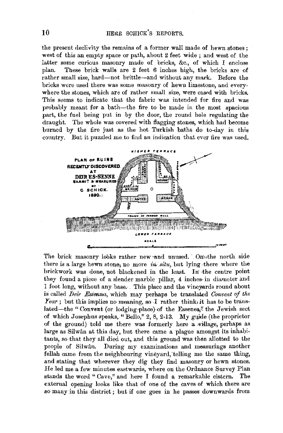the present declivity the remains of a former wall made of hewn stones; west of this an empty space or path, about 2 feet wide ; and west of the latter some curious masonry made of bricks, &c., of which I enclose plan. These brick walls are 2 feet 6 inches high, the bricks are of These brick walls are  $2$  feet  $6$  inches high, the bricks are of rather small size, hard-not brittle-and without any mark. Before the bricks were used there was some masonry of hewn limestone, and everywhere the stones, which are of rather small size, were cased with bricks. This seems to indicate that the fabric was intended for fire and was probably meant for a bath-the fire to be made in the most spacious part, the fuel being put in by the door, the round hole regulating the draught. The whole was covered with flagging stones, which had become burned by the fire just as the hot Turkish baths do to-day in this



The brick masonry looks rather new and unused. On the north side there is a large hewn stone, no more *in. situ*, but lying there where the brickwork was done, not blackened in the least. In the centre point they found a piece of a slender marble pillar, 4 inches in diameter and I foot long, without any base.<sup>•</sup> This place and the vineyards round about is called *IJei"r Esienna,* which may perhaps be translated *Convent of the Year*; but this implies no meaning, so I rather think, it has to be translated-the "Convent (or lodging-place) of the Essenes;" the Jewish sect of which Josephus speaks, "Bello," 2, 8, 2-13. My guide (the proprietor of the ground) told me there was formerly here a willage, perhaps as large as Silwân at this day, but there came a plague amongst its inhabitants, so that they all died out, and this ground was then allotted to the people of Silwân. During my examinations and measurings another During my examinations and measurings another fellah came from the neighbouring vineyard, telling me the same thing, and stating that wherever they dig they find masonry or hewn stones. He led me a few minutes eastwards, where on the Ordnance Survey Plan stands the word "Cave," and here I found a remarkable cistern. The external opening looks like that of one of the caves of which there are so many in this district; but if one goes in he passes downwards from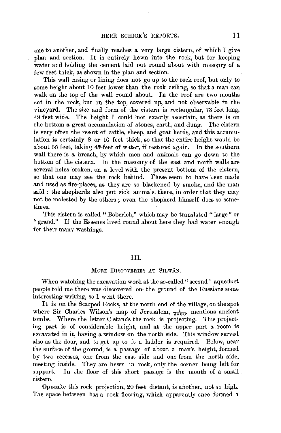one to another, and finally reaches a very large cistern, of which I give plan and section. It is entirely hewn into the rock, but for keeping water and holding the cement laid out round about with masonry of a few feet thick, as shown in the plan and section.

This wall casing or lining does not go up to the rock roof, but only to some height about 10 feet lower than the rock ceiling, so that a man can walk on the top of the wall round about. In the roof are two mouths cut in the rock, but on the top, covered up, and not observable in the vineyard. The size and form of the cistern is rectangular,  $73$  feet long, 49 feet wide. The height I could inot exactly ascertain, as there is on the bottom a great accumulation of stones, earth, and dung. The cistern is very often the resort of cattle, sheep, and goat herds, and this accumulation is certainly 8 or 10 feet thick, so that the entire height would be about 55 feet, taking 45'-feet of water, if restored again. In the southern wall there is a breach, by which men and animals can go down to the bottom of the cistern. In the masonry of the east and north walls are several holes broken, on a level with the present bottom of the cistern, so that one may see the rock behind. These seem to have been made and used as fire-places, as they are so blackened by smoke, and the man said : the shepherds also put sick animals. there, in order that they may not be molested by the others ; even the shepherd himself does so sometimes.

This cistern is called "Boberich," which may be translated "large" or "grand." If the Essenes lived round about here they had water enough for their many washings.

## IIL

#### MORE DISCOVERIES AT SILWAN.

When watching the excavation work at the so-called " second " aqueduct people told me there was discovered on the ground of the Russians some interesting writing, so 1 went there.

It is on the Scarped Rocks, at the north end of the village, on the spot where Sir Charles Wilson's map of Jerusalem,  $\frac{1}{2500}$ , mentions ancient tombs. Where the letter C stands the rock is projecting. This projecting part is of considerable height, and at the upper part a room is excavated in it, having a window on the north side. This window served also as the door, and to get up to it a ladder is required. Below, near the surface of the ground, is a passage of about a man's height, formed by two recesses, one from the east side and one from the north side, meeting inside. They are hewn in rock, only the corner being left for support. In the floor of this short passage is the mouth of a small cistern.

Opposite this rock projection, 20 feet distant, is another, not so high. The space between has a rock flooring, which apparently once formed a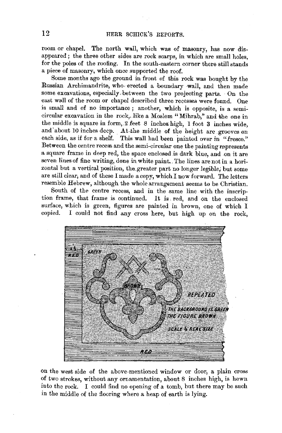room or chapel. The north wall, which was of masonry, has now disappeared ; the three other sides are rock scarps, in which are small holes, for the poles of the roofing. In the south-eastern corner there still stands a piece of masonry, which once supported the roof.

Some months ago the ground in front of this rock was bought by the Russian Archimandrite, who erected a boundary wall, and then made some excavations, especially between the two projecting parts. On the east wall of the room or chapel described three recesses were found. One is small and of no importance; another, which is opposite, is a semicircular excavation in the rock,, like a Moslem "Mihrab," and the one in the middle is square in form,  $2$  feet 8 inches high, 1 foot 3 inches wide. and about 10 inches deep. At the middle of the height are grooves on each side, as if for a shelf. This wall had been painted over in "fresco." Between the centre recess and the semi-circular one the painting represents. a square frame in deep red, the space enclosed is dark blue, and on it are seven lines of fine writing, done in white paint. The lines are not in a horizontal but a vertical position, the greater part no longer legible, but some are still clear, and of these I made a copy, which I now forward. The letters resemble Hebrew, although the whole arrangement seems to be Christian.

South of the centre recess, and in the same line with the inscription frame, that frame is continued. It is red, and on the enclosed surface, which is green, figures are painted in brown, one of which I copied. I could not find any cross here but bigh up on the rock I could not find any cross here, but high up on the rock,



on the west side of the above-mentioned window or door, a plain cross of two strokes, without any ornamentation, about 8 inches high, is hewn into the rock. I could find no opening of a tomb, but there may be such in the middle of the flooring where a heap of earth is lying.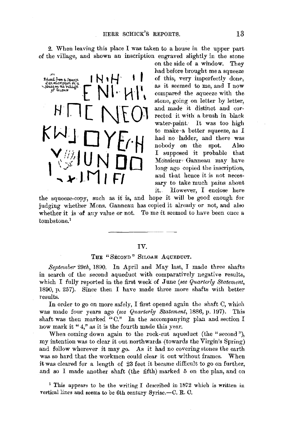2. When leaving this place I was taken to a house in the upper part of the village, and shown an inscription engraved slightly in the stone

wed from a squeeze

on the side of a window. They had before brought me a squeeze of this; very imperfectly done, as it seemed to me, and I now compared the squeeze with the stone, going on letter by letter, and made it distinct and corrected it with a brush in black water-paint. It was too high to makeva better squeeze, as I had no ladder, and there was nobody on the spot. Also I supposed it probable that Monsieur, Ganneau may have long· ago copied the inscription, and that hence it is not necessary to take much pains about it.. However, I enclose here

the squeeze-copy, such as it is, and hope it will be good enough for judging whether Mons. Ganneau has copied it already or not, and also whether it is of any value or not. To me it seemed to have been once a tombstone.<sup>1</sup>

## IV.

### THE "SECOND" SILOAH AQUEDUCT.

*September* 29th, 1890. In April and May last, I made three shafts in search of the second aqueduct with comparatively negative results, which I fully reported in the first week of June *(see Quarterly Statement,* 1890, p. 257). Since then I have made three more shafts with better results.

In order to go on more safely, I first opened again the shaft C, which was made four years ago (see Quarterly Statement, 1886, p. 197). This shaft was then marked "C." In the accompanying plan and section I now mark it "4," as it is the fourth made this year.

When coming down again to the rock-cut aqueduct (the "second"), my intention was to clear it out northwards (towards the Virgin's Spring) and follow wherever it may go. As it had no covering stones the earth was so hard that the workmen could clear it out without frames. When it was cleared for a length of 23 feet it became difficult to go on further, and so I made another shaft (the fifth) marked 5 on the plan, and on

<sup>1</sup> This appears to be the writing I described in 1872 which is written in vertical lines and seems to be 6th century Syriac.- $C$ . R. C.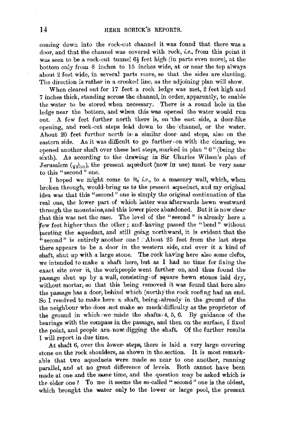coming down into the rock-cut channel it was found that there was a door, and that the channel was covered with rock, *i.e.,* from this point it was seen to be a rock-cut tunnel 6½ feet high (in parts even more), at the bottom only from 8 inches to 15 inches wide, at or near the top always about 2 feet wide, in several parts more, so that the sides are slanting. The direction is rather in a crooked line, as the adjoining plan will show.

When cleared out for 17 feet a rock ledge was met, 2 feet high and 7 inches thick, standing across the channel, in order, apparently, to enable the water to be stored when necessary. There is a round hole in the ledge near the bottom, and when this was opened the water would run out. A few feet further north there is, on 'the east side, a door-like opening, and rock-cut steps lead down to the channel, or the water. About 20 feet further north is• a similar door• and steps, also on the eastern side. As it was difficult to go further, on with the clearing, we opened another shaft over these last steps, marked in plan " 6" (being the sixth). As according to the drawing in Sir Charles Wilson's plan of Jerusalem  $\left(\frac{1}{2500}\right)$ , the present aqueduct (now in use) must be very near to this " second " one.

I hoped we might come to it, *i.e.*, to a masonry wall, which, when broken through, would-bring us to the present aqueduct, and my original idea was that this "second" one is simply the original continuation of the real one, the lower part of which latter was afterwards hewn westward through the mountains, and this lower piece abandoned. But it is now clear that this was not the case. The level of the "second" is already here a few feet higher than the other; and having passed the "bend" without meeting the aqueduct, and still going northward, it is evident that the  $\frac{1}{2}$  second" is entirely another one! About 25 feet from the last steps there appears to be a door in the western side, and over it a kind of shaft, shut up with a large stone. The rock having here also some clefts, we intended to make a shaft here, but as  $I$  had no time for fixing the exact site over it, the workpeople went farther on, and thus found the passage shut up by a wall, consisting of square hewn stones laid dry, without mortar, so that this being removed it was found that here also the passage has a door, behind which (north) the rock roofing had an end. So I resolved to make here. a shaft, being:,already in the ground of the the neighbour who does not make so much difficulty as the proprietor of the ground in which we made the shafts:  $4, 5, 6$ . By guidance of the bearings with the compass in the passage, and then on the surface, I fixed the point, and people are, now digging the shaft. Of the further results I will report in due time.

At shaft 6, over the lowers steps, there is laid a very large covering stone on the rock shoulders, as shown in the section. It is most remarkable that two aqueducts were made so near to one another, running parallel, and at no great difference of levels. Both cannot have been made at one and the same time, and the question may be asked which is the older one ? To me it seems the so-called " second " one is the oldest, which brought the water only to the lower or large pool, the present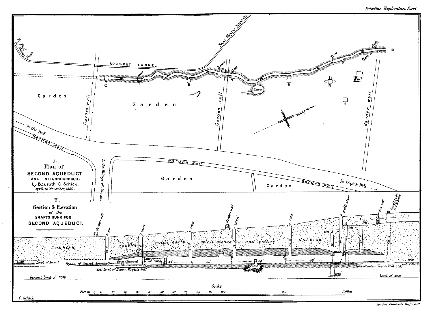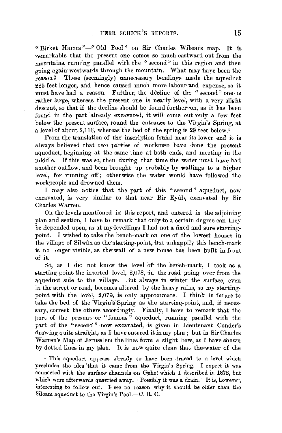" Birket Hamra"-" Old Pool" on Sir Charles Wilson's map. It is remarkable that the present one comes so much eastward out from the mountains, running parallel with the "second" in this region and then going again westwards through the mountain. What may have been the reason? These (seemingly) unnecessary bendings made the aqueduct 225 feet longer, and hence caused much more labour and expense, so it must have had a reason. Further, the decline of the "second" one is rather large, whereas the present one is nearly level, with a very slight descent, so that if the decline should be found further-on, as it has been found in the part 'already excavated, it will come out only a few feet below the present surface, round the entrance to the Virgin's Spring, at a level of about 2,116, whereas' the bed of the spring is 29 feet below.'

From the translation of the inscription found near its lower end it is always believed that two parties of workmen have done the present aqueduct, beginning at the same time at both ends, and meeting in the middle. If this was so, then during that time the water must have had another outflow, and been brought up probably by wallings to a higher level, for running off; otherwise the water would have followed the workpeople and drowned them.

I may also notice that the part of this "second" aqueduct, now excavated, is very similar to that near Bir Eyub, excavated by Sir Charles Warren.

On the levels mentioned in this report, and entered in the adjoining plan and section, I have to remark that only·to a certain degree can they be depended upon, as at my·levellings I had not a fixed and sure startingpoint. I wished to take the bench-mark on one of the lowest houses in the village of Silwân as the starting-point, but unhappily this bench-mark is no longer visible, as the wall of a new house has been built in front of it.

So, as I did not know the level of the bench-mark, I took as a starting-point the inserted level, 2,078, in the road going over from the aqueduct side to the village. But always in wmter the surface, even in the street or road, becomes altered by the heavy rains, so my startingpoint with the level, 2,079, is only approximate, I think in future to take the bed of the Virgin's Spring as the starting-point, and, if necessary, correct the others accordingly. Finally, I have to remark that the part of the present or "famous" aqueduct, running parallel with the part of the "second" now excavated, is given in Lieutenant Conder's drawing quite straight; as I have entered it in my plan; but in Sir Charles Warren's Map of Jerusalem the lines form a slight bow, as I have shown by dotted lines in my plan. It is now quite clear that the water of the

<sup>1</sup> This aqueduct appears already to have been traced to a level which precludes the idea 'that it came from the Virgin's Spring. I expect it was connected with the surface channels on Ophel which I described in 1872, but which were afterwards quarried away.  $\pm$  Possibly it was a drain. It is, however, interesting to follow out. I-see no reason why it should be older than the Siloam aqueduct to the Virgin's Pool.-C. R. C.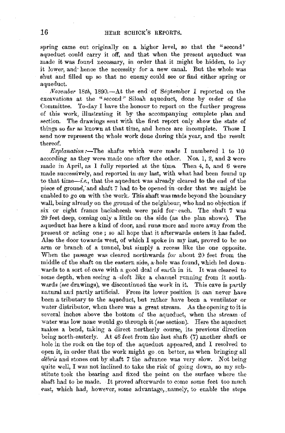spring came out originally on a higher level, so that the "second' aqueduct could carry it off, and that when the present aqueduct was made it was found necessary, in order that it might be hidden, to lay it lower, and· hence the necessity for a new canal. But the whole was shut and filled up so that no enemy could see or find either spring or aqueduct.

*November* 18th, 1890.--At the end of September I reported on the excavations at the "second" Siloah aqueduct, done by order of the Committee. To-day I have the honour to report on the further progress of this work, illustrating it by· the accompanying complete plan and section. The drawings sent with the first report only show the state of things so far as known at that time, and hence are iucomplete. Those I send now represent the whole work done during this year, and the result thereof.

*Explanation :-The* shafts whieh were made I numbered 1 to 10 according as they were made one after the other. Nos. 1, 2, and 3 were made in April, as I fully reported at the time. Then 4, 5, and 6 were made successively, and reported in my last, with what had been found up to that time-i.e., that the aqueduct was already cleared to the end of the piece of ground, and shaft 7 had to be opened in order that we might be enabled to go on with the work. This shaft was made beyond the boundary wall, being already on the ground of the neighbour, who had no objection if six or eight francs backsheesh were paid for each. The shaft 7 was 29 feet deep, coming only a little on -tha side (as the plan shows). The aqueduct has here a kind of door, and runs more and more away from the present or acting one ; so all hope that it afterwards enters it has faded. Also the door towards west, of which I spoke in my last, proved to be no arm or branch of a tunnel, but simply a recess like the one opposite. When the passage was cleared northwards for about 20 feet from the middle of the shaft on the eastern side, a-hole was found, which led downwards to a sort of cave with a good deal of earth in it. It was cleared to some depth, when seeing a cleft like a channel running from it southwards *(see drawings)*, we discontinued the work in it. This cave is partly natural and partly artificial. From its lower position it can· never have been a tributary to the aqueduct, but rather have been a ventilator or water distributor, when there was a great stream. As the opening to it is several inches above the bottom of the aqueduct, when the stream of water was low none would go through it (see section). Here the aqueduct makes a bend, taking a direct northerly course, its previous direction being north-easterly. At 46 feet from the last shaft (7) another shaft or hole in the rock on the top of the aqueduct appeared, and I resolved to open it, in order that the work might go\_ on better, as when bringing all *debris* and stones out by shaft 7 the advance was very slow. Not being quite well, I was not inclined to take the risk of going down, so my substitute took the bearing and fixed the point on the surface where the shaft had to be made. -It .proved afterwards to come some feet too mnch east, which had, however, some advantage,,namely, to enable the steps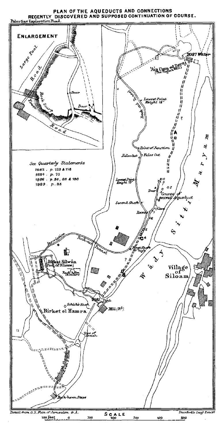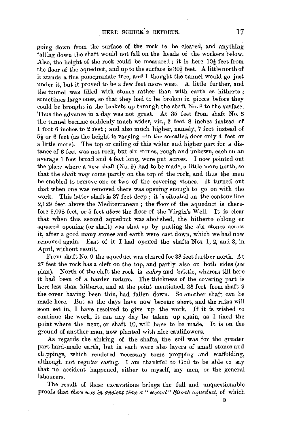going down from the surface of **the** rock to be cleared, and anything falling down the shaft would not fall on the heads of the workers below. Also, the height of the rock could be measured; it is here  $10\frac{1}{5}$  feet from the floor of the aqueduct, and up to the surface is 30½ feet. A little north of it stands a fine pomegranate tree, and I thought the tunnel would go just under it, but it proved to be a few feet more west. A little further, and the tunnel was filled with stones rather than with earth as hitherto ; sometimes large ones, so that they had to be broken in pieces before they could be brought in the baskets up through the shaft No, 8 to the surface. Thus the advance in a day was not great. At 35 feet from shaft No. 8 the tunnel became suddenly much wider, viz., 2 feet 8 inches instead of 1 foot 6 inches to 2 feet ; and also much higher, namely, 7 feet instead of  $5\frac{1}{2}$  or 6 feet (as the height is varying—in the so-called door only 4 feet or a little more). The top or ceiling of this wider and higher part for a distance of 6 feet was not rock, but six stones, rough and unhewn, each on an average 1 foot broad and 4 feet long, were put across. I now pointed out the place where a new shaft (No. 9) had to be made, a little more north, so that the shaft may come partly on the top of the rock, and thus the men be enabled to remove one or two of tbe covering stones. It turned out that when one was removed there was opening enough to go on with the work. This latter shaft is 37 feet deep ; it is situated on the contour line 2,129 feet above the Mediterranean; the floor of the aqueduct is therefore 2,092 feet, or 5 feet *above* the floor of the Virgin's Well. It is clear that when this second aqueduct was abolished, the hitherto oblong or squared opening (or shaft) was shut up by putting the six stones across it, after a good many stones and earth were cast down, which we had now removed again. East of it I had opened the shafts Nos, 1, 2, and 3, in .April, without result;,

From shaft No. 9 the aqueduct was cleared for 38 feet further north. At 27 feet the rock has a cleft on the top, and partly also on both sides *(see*  plan). North of the cleft the rock is *nahry* and brittle, whereas till here it had been of a harder nature. The thickness of the covering part is here less than hitherto, and at the point mentioned, 38 feet from shaft 9 the cover having been thin, had fallen down. So another shaft can be made here. But as the days have now become short, and the rains will soon set in, I have resolved to give up the work. If it is wished to continue the work, it car. any day be taken up again, as I fixed the point where the next, or shaft 10, will have to be made. It is on the ground of another man, now planted with nice cauliflowers .

.As regards the sinking of the shafts, the soil was for the greater part hard-made earth, but in eaeh were also layers of small stones and chippings, which rendered necessary some propping and scaffolding, although not regular casing. I am thankful to God to be able to say that no accident happened, either to myself, my men, or the general labourers.

The result of these excavations brings the full and unquestionable proofs that *there wa.s in ancient time a* " *second" Siloah aqueduct,* of which

B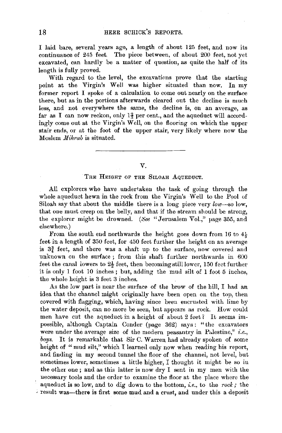I laid bare, several years ago, a length of about 125 feet, and now its continuance of 245 feet. The piece between, of about 200 feet, not yet excavated, can hardly be a matter of question, as quite the half of its length is fully proved.

With regard to the level, the excavations prove that the starting point at the Virgin's Well was higher situated than now. In my former report I spoke of a calculation to come out nearly on the surface there, but as in the portions afterwards cleared out the decline is much less, and not everywhere the same, the decline is, on an average, as far as I can now reckon, only  $1\frac{2}{3}$  per cent., and the aqueduct will accordingly come out at the Virgin's Well, on the flooring on which the upper stair ends, or at the foot of the upper stair, very likely where now the Moslem *.Miltrab* is situated.

V.

#### THE HEIGHT OF THE SILOAH AQUEDUCT.

All explorers who have undertaken the task of going through the whole aqueduct hewn in the rock from the Virgin's Well to the Pool of Siloah say that about the middle there is a long piece very *low-so* low, that one must creep on the belly, and that if the stream should be strong, the explorer might be drowned. (See "Jerusalem Vol.," page 355, and elsewhere.)

From the south end northwards the height goes down from 16 to  $4\frac{1}{3}$ feet in a length of 350 feet, for 450 feet further the height on an average is  $3<sub>4</sub><sup>3</sup>$  feet, and there was a shaft up to the surface, now covered and unknown on the surface ; from this shaft further northwards in 600 feet the canal lowers to  $2\frac{1}{2}$  feet, then becoming still lower, 150 feet further it is only 1 foot 10 inches ; but, adding the mud silt of 1 foot 5 inches, the whole height is 3 feet 3 inches.

As the low part is near the surface of the brow of the hill, I had an idea that the channel might originally have been open on the top, then covered with flagging, which, having since been encrusted with lime by the water deposit, can no more be seen, but appears as rock. How could men have cut the aqueduct in a height of about 2 feet? It seems impossible, although Captain Conder (page 362) says : "the excavators were under the average size of the modern peasantry in Palestine," *i.e.*, boys. It is remarkable that Sir C. Warren had already spoken of some height of "mud silt," which I learned only now when reading his report, and finding in my second tunnel the floor of the channel, not level, but sometimes lower, sometimes a little higher, I thought it might be so in the other one ; and as this latter is now dry I sent in my men with the necessary tools and the order to examine the floor at the place where the aqueduct is so low, and to dig down to the bottom, *i.e.,* to the *rock;* the result was-there is first some mud and a crust, and under this a deposit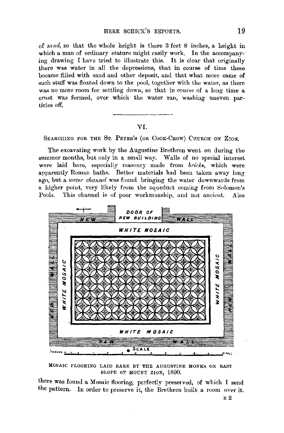of *sand,* so that the whole height is there 3 feet 8 inches, a height in which a man of ordinary stature might easily work. In the accompanying drawing I have tried to illustrate this. It is clear that originally there was water in all the depressions, that in course of time these became filled with sand and other deposit, and that what more came of such stuff was floated down to the pool, together with the water, as there was no more room for settling down, so that in course of a long time a crust was formed, over which the water ran, washing uneven particles off.

## **VI.**

SEARCHING FOR THE ST. PETER's (oR CocK-CRow) CHURCH ON **ZION.** 

The excavating work by the Augustine Brethren went on during the summer months, but only in a small way. Walls of no special interest were laid bare, especially masonry made from *bricks,* which were apparently Roman baths. Better materials had been taken away long ago, but a *water channel* was found bringing the water downwards from a higher point, very likely from the aqueduct coming from Solomon's Pools. This channel is of poor workmanship, and not ancient. Also



MOSAIC FLOORING LAID BARE BY THE AUGUSTINE MONKS ON EAST SLOPE OF MOUNT ZION, 1890.

there was found a Mosaic flooring, perfectly preserved, of which I send the pattern. In order to preserve it, the Brethren built a room over it.

B2